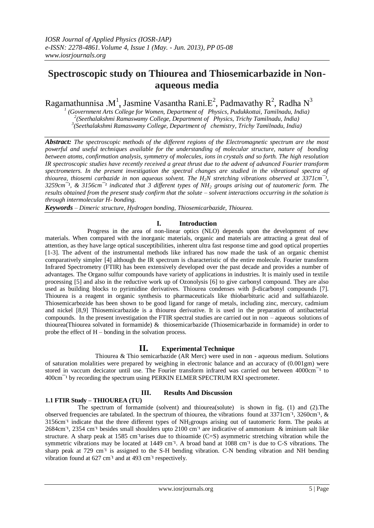# **Spectroscopic study on Thiourea and Thiosemicarbazide in Nonaqueous media**

Ragamathunnisa .M<sup>1</sup>, Jasmine Vasantha Rani.E<sup>2</sup>, Padmavathy R<sup>2</sup>, Radha N<sup>3</sup>

*1 (Government Arts College for Women, Department of Physics, Pudukkottai, Tamilnadu, India) 2 (Seethalakshmi Ramaswamy College, Department of Physics, Trichy Tamilnadu, India) 3 (Seethalakshmi Ramaswamy College, Department of chemistry, Trichy Tamilnadu, India)*

*Abstract: The spectroscopic methods of the different regions of the Electromagnetic spectrum are the most powerful and useful techniques available for the understanding of molecular structure, nature of bonding between atoms, confirmation analysis, symmetry of molecules, ions in crystals and so forth. The high resolution IR spectroscopic studies have recently received a great thrust due to the advent of advanced Fourier transform spectrometers. In the present investigation the spectral changes are studied in the vibrational spectra of thiourea, thiosemi carbazide in non aqueous solvent. The*  $H_2N$  *stretching vibrations observed at 3371cm<sup>-1</sup>, 3259cm¯¹, & 3156cm¯¹ indicated that 3 different types of NH<sup>2</sup> groups arising out of tautomeric form. The results obtained from the present study confirm that the solute – solvent interactions occurring in the solution is through intermolecular H- bonding.*

*Keywords* – *Dimeric structure, Hydrogen bonding, Thiosemicarbazide, Thiourea.*

# **I. Introduction**

 Progress in the area of non-linear optics (NLO) depends upon the development of new materials. When compared with the inorganic materials, organic and materials are attracting a great deal of attention, as they have large optical susceptibilities, inherent ultra fast response time and good optical properties [1-3]. The advent of the instrumental methods like infrared has now made the task of an organic chemist comparatively simpler [4] although the IR spectrum is characteristic of the entire molecule. Fourier transform Infrared Spectrometry (FTIR) has been extensively developed over the past decade and provides a number of advantages. The Organo sulfur compounds have variety of applications in industries. It is mainly used in textile processing [5] and also in the reductive work up of Ozonolysis [6] to give carbonyl compound. They are also used as building blocks to pyrimidine derivatives. Thiourea condenses with β-dicarbonyl compounds [7]. Thiourea is a reagent in organic synthesis to pharmaceuticals like thiobarbituric acid and sulfathiazole. Thiosemicarbozide has been shown to be good ligand for range of metals, including zinc, mercury, cadmium and nickel [8,9] Thiosemicarbazide is a thiourea derivative. It is used in the preparation of antibacterial compounds. In the present investigation the FTIR spectral studies are carried out in non – aqueous solutions of thiourea(Thiourea solvated in formamide) & thiosemicarbazide (Thiosemicarbazide in formamide) in order to probe the effect of H – bonding in the solvation process.

# **II. Experimental Technique**

 Thiourea & Thio semicarbazide (AR Merc) were used in non - aqueous medium. Solutions of saturation molalities were prepared by weighing in electronic balance and an accuracy of (0.001gm) were stored in vaccum decicator until use. The Fourier transform infrared was carried out between  $4000 \text{cm}^{-1}$  to 400cm<sup>-1</sup> by recording the spectrum using PERKIN ELMER SPECTRUM RXI spectrometer.

# **III. Results And Discussion**

# **1.1 FTIR Study – THIOUREA (TU)**

 The spectrum of formamide (solvent) and thiourea(solute) is shown in fig. (1) and (2).The observed frequencies are tabulated. In the spectrum of thiourea, the vibrations found at 3371cm<sup>-1</sup>, 3260cm<sup>-1</sup>, & 3156cm<sup>-1</sup> indicate that the three different types of NH<sub>2</sub>groups arising out of tautomeric form. The peaks at 2684cm<sup>-1</sup>, 2354 cm<sup>-1</sup> besides small shoulders upto 2100 cm<sup>-1</sup> are indicative of ammonium & iminium salt like structure. A sharp peak at 1585 cm<sup>-1</sup>arises due to thioamide (C=S) asymmetric stretching vibration while the symmetric vibrations may be located at 1449 cm<sup>-1</sup>. A broad band at 1088 cm<sup>-1</sup> is due to C-S vibrations. The sharp peak at 729 cm<sup>-1</sup> is assigned to the S-H bending vibration. C-N bending vibration and NH bending vibration found at 627 cm<sup>-1</sup> and at 493 cm<sup>-1</sup> respectively.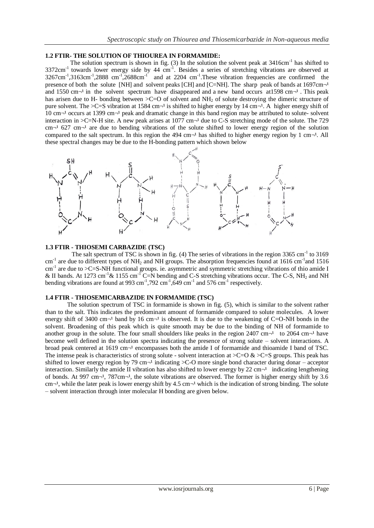### **1.2 FTIR- THE SOLUTION OF THIOUREA IN FORMAMIDE:**

The solution spectrum is shown in fig.  $(3)$  In the solution the solvent peak at 3416cm<sup>-1</sup> has shifted to  $3372 \text{cm}^{-1}$  towards lower energy side by 44  $\text{cm}^{-1}$ . Besides a series of stretching vibrations are observed at  $3267 \text{cm}^{-1}$ ,  $3163 \text{cm}^{-1}$ ,  $2888 \text{cm}^{-1}$ ,  $2688 \text{cm}^{-1}$  and at 2204 cm<sup>-1</sup>. These vibration frequencies are confirmed the presence of both the solute [NH] and solvent peaks [CH] and [C=NH]. The sharp peak of bands at  $1697 \text{cm}^{-1}$ and 1550 cm $\neg$  in the solvent spectrum have disappeared and a new band occurs at 1598 cm $\neg$ <sup>1</sup>. This peak has arisen due to H- bonding between  $\geq$ C=O of solvent and NH<sub>2</sub> of solute destroying the dimeric structure of pure solvent. The >C=S vibration at 1584 cm $\neg$ <sup>1</sup> is shifted to higher energy by 14 cm $\neg$ <sup>1</sup>. A higher energy shift of  $10 \text{ cm}^{-1}$  occurs at 1399 cm $^{-1}$  peak and dramatic change in this band region may be attributed to solute- solvent interaction in  $>C=N-H$  site. A new peak arises at 1077 cm $\neg$ <sup>1</sup> due to C-S stretching mode of the solute. The 729 cm $\neg$ <sup>1</sup> 627 cm $\neg$ <sup>1</sup> are due to bending vibrations of the solute shifted to lower energy region of the solution compared to the salt spectrum. In this region the 494 cm $\neg$ <sup>1</sup> has shifted to higher energy region by 1 cm $\neg$ <sup>1</sup>. All these spectral changes may be due to the H-bonding pattern which shown below



#### **1.3 FTIR - THIOSEMI CARBAZIDE (TSC)**

The salt spectrum of TSC is shown in fig.  $(4)$  The series of vibrations in the region 3365 cm<sup>-1</sup> to 3169  $cm^{-1}$  are due to different types of NH<sub>2</sub> and NH groups. The absorption frequencies found at 1616 cm<sup>-1</sup> and 1516 cm<sup>-1</sup> are due to >C=S-NH functional groups. ie. asymmetric and symmetric stretching vibrations of thio amide I & II bands. At 1273 cm<sup>-1</sup> & 1155 cm<sup>-1</sup> C=N bending and C-S stretching vibrations occur. The C-S, NH<sub>2</sub> and NH bending vibrations are found at 993 cm<sup>-1</sup>,792 cm<sup>-1</sup>,649 cm<sup>-1</sup> and 576 cm<sup>-1</sup> respectively.

#### **1.4 FTIR - THIOSEMICARBAZIDE IN FORMAMIDE (TSC)**

 The solution spectrum of TSC in formamide is shown in fig. (5), which is similar to the solvent rather than to the salt. This indicates the predominant amount of formamide compared to solute molecules. A lower energy shift of 3400 cm $\neg$ <sup>1</sup> band by 16 cm $\neg$ <sup>1</sup> is observed. It is due to the weakening of C=O-NH bonds in the solvent. Broadening of this peak which is quite smooth may be due to the binding of NH of formamide to another group in the solute. The four small shoulders like peaks in the region 2407 cm $\neg$ <sup>1</sup> to 2064 cm $\neg$ <sup>1</sup> have become well defined in the solution spectra indicating the presence of strong solute – solvent interactions. A broad peak centered at  $1619 \text{ cm}^{-1}$  encompasses both the amide I of formamide and thioamide I band of TSC. The intense peak is characteristics of strong solute - solvent interaction at  $\geq$ C=O &  $\geq$ C=S groups. This peak has shifted to lower energy region by 79 cm $\neg$ <sup>1</sup> indicating  $\geq$ C-O more single bond character during donar – acceptor interaction. Similarly the amide II vibration has also shifted to lower energy by 22 cm $\neg$ <sup>1</sup> indicating lengthening of bonds. At 997 cm $\neg$ <sup>1</sup>, 787cm $\neg$ <sup>1</sup>, the solute vibrations are observed. The former is higher energy shift by 3.6 cm $\neg$ <sup>1</sup>, while the later peak is lower energy shift by 4.5 cm $\neg$ <sup>1</sup> which is the indication of strong binding. The solute – solvent interaction through inter molecular H bonding are given below.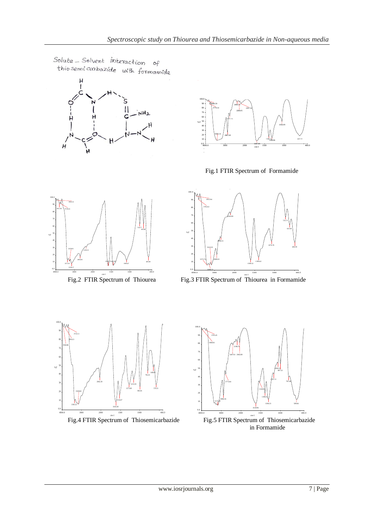Solute - Solvent interaction of this semi carbazide with formamide





Fig.1 FTIR Spectrum of Formamide



SALT-III.pk

 $S_{\rm 1.50}$  3601  $\pm$  3601  $\pm$  3601  $\pm$  3601  $\pm$  3601  $\pm$  3601  $\pm$  3601  $\pm$ 



Fig.2 FTIR Spectrum of Thiourea Fig.3 FTIR Spectrum of Thiourea in Formamide



SALT-II.



-Fig.  $\sim$ in Formamide Fig.4 FTIR Spectrum of Thiosemicarbazide Fig.5 FTIR Spectrum of Thiosemicarbazide